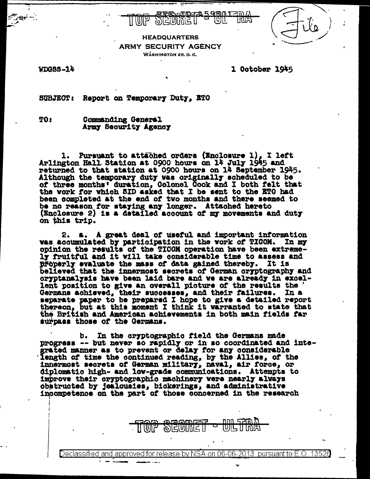

### **HEADQUARTERS ARMY SECURITY AGENCY** WASHINGTON 25. D.C.

**PIERING I** 

ŢU)

WDGSS-14

1 October 1945

**SUBJECT:** Report on Temporary Duty. ETO

TO: Commanding General Army Security Agency

Pursuant to attached orders (Enclosure 1), I left ı. Arlington Hall Station at 0900 hours on 14 July 1945 and returned to that station at 0900 hours on 14 September 1945. Although the temporary duty was originally scheduled to be of three months' duration, Golonel Gook and I both felt that the work for which SID asked that I be sent to the ETO had been completed at the end of two months and there seemed to be no reason for staying any longer. Attached hereto (Enclosure 2) is a detailed account of my movements and duty on this trip.

a. A great deal of useful and important information 2. was accumulated by participation in the work of TICOM. In my opinion the results of the TICOM operation have been extremely fruitful and it will take considerable time to assess and Broperly evaluate the mass of data gained thereby. It is believed that the innermost secrets of German cryptography and cryptanalysis have been laid bare and we are already in excellent position to give an overall picture of the results the Germans achieved, their successes, and their failures. In a separate paper to be prepared I hope to give a detailed report thereon, but at this moment I think it warranted to state that the British and American achievement surpass those of the Germans.

b. In the cryptographic field the Germans made progress -- but never so rapidly or in so coordinated and integrated manner as to prevent or delay for any considerable length of time the continued reading, by the Allies, of the innermost secrets of German military, naval, air force, or diplomatic high- and low-grade communications. Attempts to improve their cryptographic machinery were nearly always obstructed by jealousies, bickerings, and administrative incompetence on the part of those concerned in the research

וחו

Declassified and approved for release by NSA on 06-06-2013  $\,$  pursuant to E.O. 13526  $\,$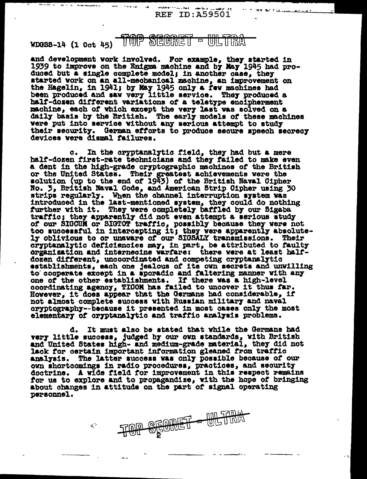**REF ID:A59501** 

# TOP SECRET - ULTRA  $WDGS-14$  (1 Oct  $45$ )

and development work involved. For example, they started in 1939 to improve on the Enigma machine and by May 1945 had produced but a single complete model; in another case, they started work on an all-mechanical machine, an improvement on the Hagelin, in 1941; by May 1945 only a few machines had been produced and saw very little service. They produced a half-dozen different variations of a teletype encipherment machine, each of which except the very last was solved on a daily basis by the British. The early models of these machines were put into service without any serious attempt to study their security. German efforts to produce secure speech secrecy devices vere dismal failures.

In the cryptanalytic field, they had but a mere  $\alpha$ . half-dozen first-rate technicians and they failed to make even a dent in the high-grade cryptographic machines of the British or the United States. Their greatest achievements were the solution (up to the end of 1943) of the British Naval Cipher No. 3, British Naval Code, and American Strip Cipher using 30 strips regularly. When the channel interruption system was introduced in the last-mentioned system, they could do nothing further with it. They were completely baffled by our Sigaba traffic; they apparently did not even attempt a serious study of our SIGCUM or SIGTOT traffic, possibly because they were not too successful in intercepting it; they were apparently absolute-<br>ly oblivious to or unaware of our SIGSALY transmissions. Their cryptanalytic deficiencies may, in part, be attributed to faulty organization and internecine varfare: there were at least halfdozen different, uncoordinated and competing cryptanalytic establishments, each one jealous of its own secrets and unwilling to cooperate except in a sporadic and faltering manner with any one of the other establishments. If there was a high-level coordinating agency, TICOM has failed to uncover it thus far. However, it does appear that the Germans had considerable, if not almost complete success with Russian military and naval cryptography--because it presented in most cases only the most elementary of oryptanalytic and traffic analysis problems.

d. It must also be stated that while the Germans had very little success, judged by our own standards, with British and United States high- and medium-grade material, they did not lack for certain important information gleaned from traffic analysis. The latter success was only possible because of our own shortcomings in radio procedures, practices, and security doctrine. A wide field for improvement in this respect remains for us to explore and to propagandize, with the hope of bringing about changes in attitude on the part of signal operating personnel.

 $\mathcal{C}^2$ 

**SECRET - ULTRA**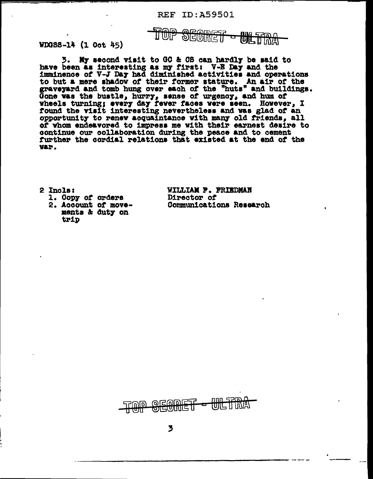#### TOP **SECRET** I UI.

WDGSS-14 (1 Oct 45)

3. My second visit to GC & OS can hardly be said to have been as interesting as my first: V-E Day and the<br>imminence of V-J Day had diminished activities and operations to but a mere shadow of their former stature. An air of the graveyard and tomb hung over each of the "huts" and buildings.<br>Gone was the bustle, hurry, sense of urgency, and hum of wheels turning; every day fever faces were seen. However, I found the visit interesting nevertheless and was glad of an opportunity to renew acquaintance with many old friends, all of whom endeavored to impress me with their earnest desire to continue our collaboration during the peace and to cement further the cordial relations that existed at the end of the V&r.

2 Incls:

1. Copy of orders

2. Account of movements & duty on trip

WILLIAM F. FRIEDMAN Director of Communications Research

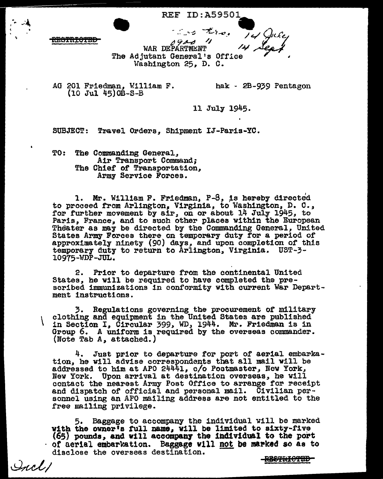### • REF ID:A59501.

REGTRIOTED

 $~\cdot$   $~\cdot$   $~\cdot$   $~\cdot$   $~\cdot$   $~\cdot$   $~\cdot$   $~\cdot$   $~\cdot$   $~\cdot$   $~\cdot$   $~\cdot$   $~\cdot$   $~\cdot$   $~\cdot$   $~\cdot$   $~\cdot$   $~\cdot$   $~\cdot$   $~\cdot$   $~\cdot$   $~\cdot$   $~\cdot$   $~\cdot$   $~\cdot$   $~\cdot$   $~\cdot$   $~\cdot$   $~\cdot$   $~\cdot$   $~\cdot$   $~\cdot$   $~\cdot$   $~\cdot$   $~\cdot$   $~\cdot$   $~\cdot$ WAR DEPARTMENT The Adjutant General's Office<br>Washington 25, D. C.

AG 201 Friedman, William F. hak - 2B-939 Pentagon  $(10 \text{ Jul } 45)$  $0B-S-B$ 

11 July 1945.

SUBJECT: Travel Orders, Shipment IJ-Paris-YC.

TO: The Commanding General, Air Transport Command; The Chief of Transportation, Army Service Forces.

1. Mr. William F. Friedman, P-8, is hereby directed to proceed from Arlington, Virginia, to Vashington, D. C., for further movement by  $\operatorname{a.\!ir}$ , on or about 14 July 1945, to Paris, France, and to such other places within the European Theater as may be directed by the Commanding General, United States Army Forces there on temporary duty for a period of approximately ninety (90} days, and upon completion or this temporary duty to return to Arlington, Virginia. UST-3-10975-'WDP-JUL.

2. Prior to departure from the continental United<br>States, he will be required to have completed the prescribed immunizations in conformity with current War Department instructions.

*3.* Regulations governing the procurement *or* military in Section I, Circular 399, WD, 1944. Mr. Friedman is in Group 6. A uniform is required by the overseas commander. (Note Tab A. attached.)

4. Just prior to departure for port of aerial embarkation, he will advise correspondents that all mail will be addressed to him at APO 24441, c/o Postmaster, New York, New York. Upon arrival at destination overseas, he will and dispatch of official and personal mail. Civilian per-<br>sonnel using an APO mailing address are not entitled to the free ma111ng privilege.

5. Baggage to accompany the individual will be marked with the owner's full name, will be limited to sixty-five  $(65)$  pounds, and v111 accompany the individual to the port of aerial embarkation. Baggage will not be marked so as to disclose the overseas destination.

Incl/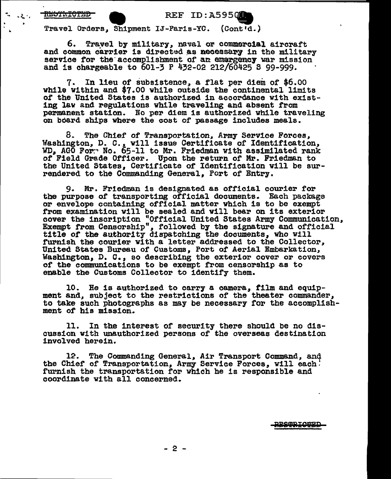### .. •• ... t. *•I* • REF ID:A595 •

Travel Orders, Shipment IJ-Paris-YO. (Cont'd.)

6. Trayel by military, naval or commercial aircraft<br>and common carrier is directed as necessary in the military service for the accomplishment of an emargency war mission and is chargeable to  $601-3$  P  $432-02$  212/60425 S 99-999.

7. In lieu of subsistence, a flat per diem of \$6.00 vh1le Within and \$7.00 while outside the continental limits *ot* the United States is authorized in accordance with existing law and regulations while traveling and absent from permanent station. No per diem is authorized while traveling on board ships where the cost of passage includes meals.

8. The Chief of Transportation, Army Service Forces, Washington, D. C., vill issue Certificate of Identification, WD, AGO For. No. 65-11 to Mr. Friedman with assimilated rank of Field Grade Officer. Upon the return of Mr. Friedman to the United States, Certificate of Identification will be surrendered to the Commanding General, Port of Entry.

9. Mr. Friedman is designated as official courier for the purpose of transporting official documents. Each package or envelope containing official matter which is to be exempt from examination will be sealed and will bear on its exterior cover the inscription "Official United States Army Communication, Exempt from Censorship", followed by the signature and official title of the authority dispatching the documents, who Will furnish the courier with a letter addressed to the Collector, United States Bureau of Customs, Port of Aerial Embarkation, Washington, D. c., so describing the exterior cover or covers of the communications to be exempt from censorship as to enable the Customs Collector to identify them.

10. He is authorized to carry a camera, film and equipment and, subject to the restrictions of the theater commander, to take such photographs as may be necessary for the accomplishment *ot* his mission.

11. In the interest or security there should be no discussion with unauthorized persons of the overseas destination involved herein.

12. The Commanding General, Air Transport Command, and the Chief of Transportation, Army Service Forces, will each! furnish the transportation for which he is responsible and coordinate with all concerned.

**POOPTOOPT**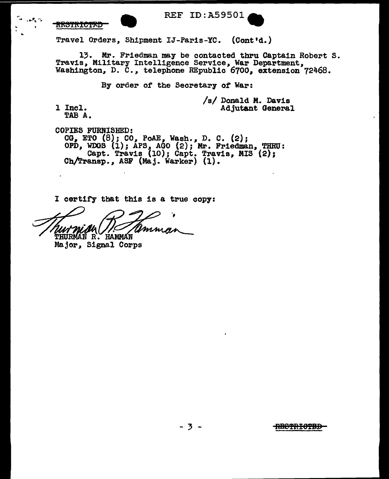$. . . .$ 

..



REF ID:A59501<br>Travel Orders, Shipment IJ-Paris-YC. (Cont'd.)

13. Mr. Friedman may be contacted thru Captain Robert S.<br>Travis, Military Intelligence Service, War Department. Washington, D. C., telephone REpublic 6700, extension 72468.

By order of the Secretary of War:

l Incl. TAB A. /s/ Donald M. Davis Adjutant General

COPIES FURNISHED:  $CG<sub>e</sub>$  ETO  $(8)$ ; CO, PoAE, Wash., D. C.  $(2)$ ; OPD, WDOS  $(i)$ ; APS, AGO  $(2)$ ; Mr. Friedman, THRU: Capt. Travis (10); Capt. Travis, MIS (2);<br>Ch/Transp., ASF (Maj. Warker) (1).

I certify that this is a true copy:

Ummas THURMAN R. HAMMAN

Major, Signal Corps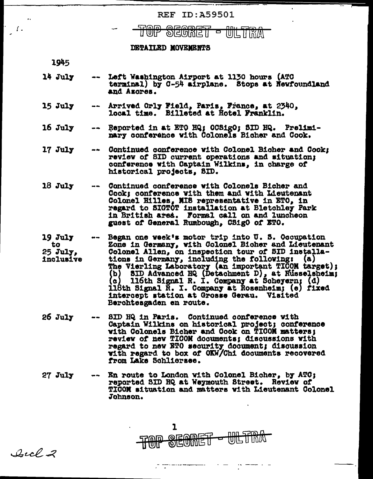## **REF ID: A59501**

#### <u>ञ्चटणतान्ना</u> ר שור WIL IHYAN

#### DETAILED MOVEMENTS

1945

- $14$  July Left Washington Airport at 1130 hours (ATC terminal) by C-54 airplane. Stops at Newfoundland and Azores.
- Arrived Orly Field, Paris, France, at 2340.  $15$  July  $\frac{1}{2}$  and  $\frac{1}{2}$ local time. Billeted at flotel Franklin.
- -- Reported in at ETO HQ; OCSigO; SID HQ. Prelimi- $16Ju1y$ nary conference with Colonels Bicher and Cook.
- $17$   $J$ uly Continued conference with Colonel Bicher and Cook: review of SID current operations and situation; conference with Captain Wilkins, in charge of historical projects, SID.
- $18$  July Continued conference with Colonels Bicher and Cook; conference with them and with Lieutenant Colonel Hilles, MIS representative in ETO, in regard to SIGTOT installation at Bletchley Park in British area. Formal call on and luncheon guest of General Rumbough, CSigO of ETO.
- $19$  July Began one week's motor trip into U.S. Occupation Zone in Germany, with Colonel Bicher and Lieutenant to Colonel Allen, on inspection tour of SID installa-25 July. tions in Germany, including the following: (a) inclusive The Vierling Laboratory (an important TICOM target); (b) SID Advanced HQ (Detachment D), at Russelsheim;<br>(c) 116th Signal R. I. Company at Scheyern; (d)<br>118th Signal R. I. Company at Rosenheim; (e) fixed intercept station at Grosse Gerau. Visited Berchtesgaden en route.
- 26 July SID HQ in Paris. Continued conference with Captain Wilkins on historical project; conference with Colonels Bicher and Cook on TICOM matters; review of new TICOM documents; discussions with regard to new ETO security document; discussion with regard to box of OKW/Chi documents recovered from Lake Schliersee.
- En route to London with Colonel Bicher, by ATC; **27 July** que de l reported SID HQ at Weymouth Street. Review of TICOM situation and matters with Lieutenant Colonel Johnson.

 $\mathbf{I}$ <u>nnn 5260.4</u> **TOP SEOMET WILTIMAT** 

 $Cuch-2$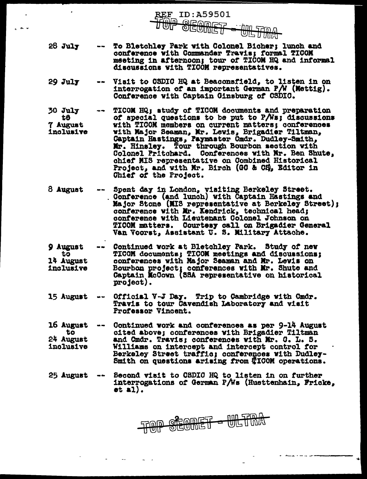$28$  July To Bletchley Park with Colonel Bicher: lunch and conference with Commander Travis; formal TICOM meeting in afternoon; tour of TICOM HQ and informal discussions with TICOM representatives.

REF

ID:A59501

**SEOMET** 

שוקר טטט ח*בותו ת*וכני

- Visit to OSDIC HQ at Beaconsfield, to listen in on  $29$  July interrogation of an important German  $P/N$  (Mettig). Conference with Captain Ginsburg of CSDIC.
- $30$  July TICOM HQ; atudy of TICOM documents and preparation to of special questions to be put to P/Ws; discussions with TICOM members on current matters; conferences 7 August with Major Seaman, Mr. Lewis, Brigadier Tiltman, inclusive Captain Hastings, Paymaster Cmdr. Dudley-Smith, Mr. Hinsley. Tour through Bourbon section with Colonel Pritchard. Conferences with Mr. Ben Shute, chief MIS representative on Combined Historical Project, and with Mr. Birch (GO & CS), Editor in Chief of the Project.
- 8 August Spent day in London, visiting Berkeley Street. Conference (and lunch) with Captain Hastings and Major Stone (MIS representative at Berkeley Street); conference with Mr. Kendrick, technical head; conference with Lieutenant Colonel Johnson on TICOM matters. Courtesy call on Brigadier General Van Voorst, Assistant U. S. Military Attache.
- Continued work at Bletchley Park. Study of new 9 August TICOM documents; TICOM meetings and discussions: tō conferences with Major Seaman and Mr. Lewis on 14 August Bourbon project; conferences with Mr. Shute and Captain McCown (SSA representative on historical inclusive project).
- Official V-J Day. Trip to Cambridge with Cmdr. 15 August Travis to tour Cavendish Laboratory and visit Professor Vincent.
- 16 August Continued work and conferences as per 9-14 August cited above; conferences with Brigadier Tiltman to 24 August and Cmdr. Travis; conferences with Mr. C. L. S. inclusive Williams on intercept and intercept control for Berkeley Street traffic; conferences with Dudley-Smith on questions arising from #ICOM operations.

Second visit to CSDIC HQ to listen in on further 25 August interrogations of German P/Ws (Huettenhain, Fricke,  $et 2.$